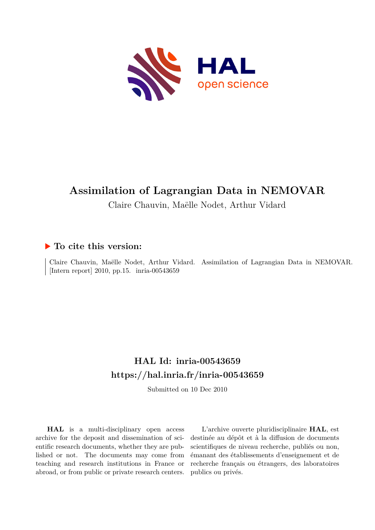

# **Assimilation of Lagrangian Data in NEMOVAR**

Claire Chauvin, Maëlle Nodet, Arthur Vidard

### **To cite this version:**

Claire Chauvin, Maëlle Nodet, Arthur Vidard. Assimilation of Lagrangian Data in NEMOVAR. [Intern report]  $2010$ , pp.15. inria-00543659

# **HAL Id: inria-00543659 <https://hal.inria.fr/inria-00543659>**

Submitted on 10 Dec 2010

**HAL** is a multi-disciplinary open access archive for the deposit and dissemination of scientific research documents, whether they are published or not. The documents may come from teaching and research institutions in France or abroad, or from public or private research centers.

L'archive ouverte pluridisciplinaire **HAL**, est destinée au dépôt et à la diffusion de documents scientifiques de niveau recherche, publiés ou non, émanant des établissements d'enseignement et de recherche français ou étrangers, des laboratoires publics ou privés.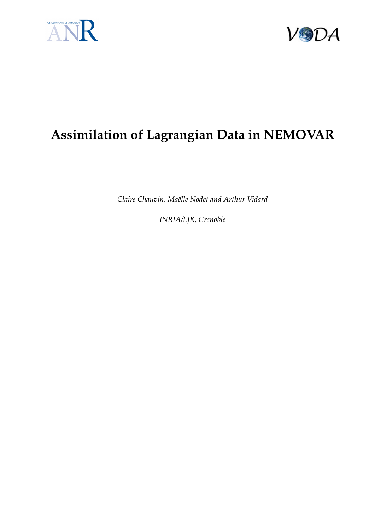



# **Assimilation of Lagrangian Data in NEMOVAR**

*Claire Chauvin, Ma¨elle Nodet and Arthur Vidard*

*INRIA/LJK, Grenoble*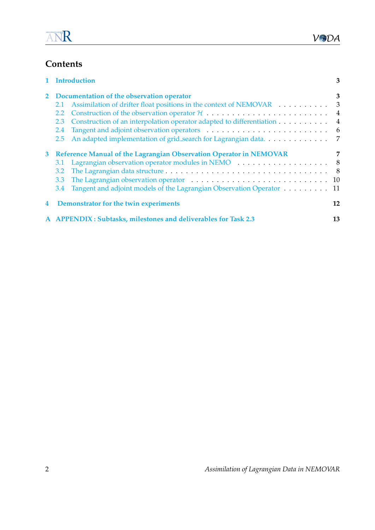# **Contents**

|   | 1 Introduction                                                                                                                                                                                                                        |                |  |
|---|---------------------------------------------------------------------------------------------------------------------------------------------------------------------------------------------------------------------------------------|----------------|--|
|   | 2 Documentation of the observation operator                                                                                                                                                                                           | 3              |  |
|   | Assimilation of drifter float positions in the context of NEMOVAR<br>2.1                                                                                                                                                              | 3              |  |
|   | $2.2^{\circ}$                                                                                                                                                                                                                         | 4              |  |
|   | Construction of an interpolation operator adapted to differentiation<br>2.3                                                                                                                                                           | $\overline{4}$ |  |
|   | 2.4                                                                                                                                                                                                                                   | - 6            |  |
|   | An adapted implementation of grid_search for Lagrangian data<br>2.5                                                                                                                                                                   | 7              |  |
| 3 | Reference Manual of the Lagrangian Observation Operator in NEMOVAR                                                                                                                                                                    | 7              |  |
|   | 3.1                                                                                                                                                                                                                                   | - 8            |  |
|   | 3.2                                                                                                                                                                                                                                   |                |  |
|   | The Lagrangian observation operator enters and solution of the Lagrangian observation operator enters and solution of the Lagrangian observation of the Lagrangian observation of the Lagrangian of the Lagrangian of the Lagr<br>3.3 |                |  |
|   | Tangent and adjoint models of the Lagrangian Observation Operator 11<br>3.4                                                                                                                                                           |                |  |
| 4 | Demonstrator for the twin experiments                                                                                                                                                                                                 | 12             |  |
|   | A APPENDIX: Subtasks, milestones and deliverables for Task 2.3                                                                                                                                                                        | 13             |  |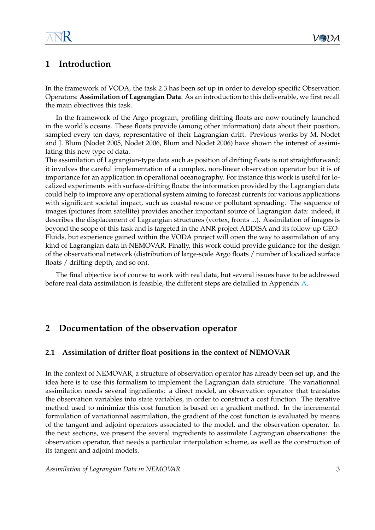### <span id="page-3-0"></span>**1 Introduction**

In the framework of VODA, the task 2.3 has been set up in order to develop specific Observation Operators: **Assimilation of Lagrangian Data**. As an introduction to this deliverable, we first recall the main objectives this task.

In the framework of the Argo program, profiling drifting floats are now routinely launched in the world's oceans. These floats provide (among other information) data about their position, sampled every ten days, representative of their Lagrangian drift. Previous works by M. Nodet and J. Blum (Nodet 2005, Nodet 2006, Blum and Nodet 2006) have shown the interest of assimilating this new type of data.

The assimilation of Lagrangian-type data such as position of drifting floats is not straightforward; it involves the careful implementation of a complex, non-linear observation operator but it is of importance for an application in operational oceanography. For instance this work is useful for localized experiments with surface-drifting floats: the information provided by the Lagrangian data could help to improve any operational system aiming to forecast currents for various applications with significant societal impact, such as coastal rescue or pollutant spreading. The sequence of images (pictures from satellite) provides another important source of Lagrangian data: indeed, it describes the displacement of Lagrangian structures (vortex, fronts ...). Assimilation of images is beyond the scope of this task and is targeted in the ANR project ADDISA and its follow-up GEO-Fluids, but experience gained within the VODA project will open the way to assimilation of any kind of Lagrangian data in NEMOVAR. Finally, this work could provide guidance for the design of the observational network (distribution of large-scale Argo floats / number of localized surface floats / drifting depth, and so on).

The final objective is of course to work with real data, but several issues have to be addressed before real data assimilation is feasible, the different steps are detailled in Appendix [A.](#page-13-0)

# <span id="page-3-1"></span>**2 Documentation of the observation operator**

#### <span id="page-3-2"></span>**2.1 Assimilation of drifter float positions in the context of NEMOVAR**

In the context of NEMOVAR, a structure of observation operator has already been set up, and the idea here is to use this formalism to implement the Lagrangian data structure. The variationnal assimilation needs several ingredients: a direct model, an observation operator that translates the observation variables into state variables, in order to construct a cost function. The iterative method used to minimize this cost function is based on a gradient method. In the incremental formulation of variationnal assimilation, the gradient of the cost function is evaluated by means of the tangent and adjoint operators associated to the model, and the observation operator. In the next sections, we present the several ingredients to assimilate Lagrangian observations: the observation operator, that needs a particular interpolation scheme, as well as the construction of its tangent and adjoint models.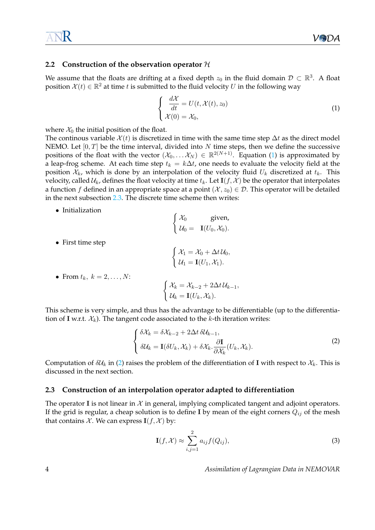#### <span id="page-4-0"></span>**2.2 Construction of the observation operator** H

We assume that the floats are drifting at a fixed depth  $z_0$  in the fluid domain  $\mathcal{D} \subset \mathbb{R}^3$ . A float position  $\mathcal{X}(t) \in \mathbb{R}^2$  at time t is submitted to the fluid velocity U in the following way

<span id="page-4-2"></span>
$$
\begin{cases}\n\frac{d\mathcal{X}}{dt} = U(t, \mathcal{X}(t), z_0) \\
\mathcal{X}(0) = \mathcal{X}_0,\n\end{cases}
$$
\n(1)

where  $\mathcal{X}_0$  the initial position of the float.

The continous variable  $\mathcal{X}(t)$  is discretized in time with the same time step  $\Delta t$  as the direct model NEMO. Let  $[0, T]$  be the time interval, divided into N time steps, then we define the successive positions of the float with the vector  $(\mathcal{X}_0, \ldots \mathcal{X}_N) \in \mathbb{R}^{2(N+1)}$ . Equation [\(1\)](#page-4-2) is approximated by a leap-frog scheme. At each time step  $t_k = k\Delta t$ , one needs to evaluate the velocity field at the position  $\mathcal{X}_k$ , which is done by an interpolation of the velocity fluid  $U_k$  discretized at  $t_k$ . This velocity, called  $U_k$ , defines the float velocity at time  $t_k$ . Let  $I(f, \mathcal{X})$  be the operator that interpolates a function f defined in an appropriate space at a point  $(\mathcal{X}, z_0) \in \mathcal{D}$ . This operator will be detailed in the next subsection [2.3.](#page-4-1) The discrete time scheme then writes:

• Initialization

$$
\begin{cases}\n\mathcal{X}_0 & \text{given,} \\
\mathcal{U}_0 = \mathbf{I}(U_0, \mathcal{X}_0).\n\end{cases}
$$

• First time step

$$
\begin{cases} \mathcal{X}_1 = \mathcal{X}_0 + \Delta t \mathcal{U}_0, \\ \mathcal{U}_1 = \mathbf{I}(U_1, \mathcal{X}_1). \end{cases}
$$

• From 
$$
t_k
$$
,  $k = 2, \ldots, N$ :

$$
\begin{cases} \mathcal{X}_k = \mathcal{X}_{k-2} + 2\Delta t \,\mathcal{U}_{k-1}, \\ \mathcal{U}_k = \mathbf{I}(U_k, \mathcal{X}_k). \end{cases}
$$

This scheme is very simple, and thus has the advantage to be differentiable (up to the differentiation of I w.r.t.  $\mathcal{X}_k$ ). The tangent code associated to the k-th iteration writes:

<span id="page-4-3"></span>
$$
\begin{cases}\n\delta \mathcal{X}_k = \delta \mathcal{X}_{k-2} + 2\Delta t \, \delta \mathcal{U}_{k-1}, \\
\delta \mathcal{U}_k = \mathbf{I}(\delta U_k, \mathcal{X}_k) + \delta \mathcal{X}_k \cdot \frac{\partial \mathbf{I}}{\partial \mathcal{X}_k}(U_k, \mathcal{X}_k).\n\end{cases}
$$
\n(2)

Computation of  $\delta \mathcal{U}_k$  in [\(2\)](#page-4-3) raises the problem of the differentiation of I with respect to  $\mathcal{X}_k$ . This is discussed in the next section.

#### <span id="page-4-1"></span>**2.3 Construction of an interpolation operator adapted to differentiation**

The operator I is not linear in  $\mathcal X$  in general, implying complicated tangent and adjoint operators. If the grid is regular, a cheap solution is to define I by mean of the eight corners  $Q_{ij}$  of the mesh that contains  $\mathcal X$ . We can express  $I(f, \mathcal X)$  by:

<span id="page-4-4"></span>
$$
\mathbf{I}(f,\mathcal{X}) \approx \sum_{i,j=1}^{2} a_{ij} f(Q_{ij}),\tag{3}
$$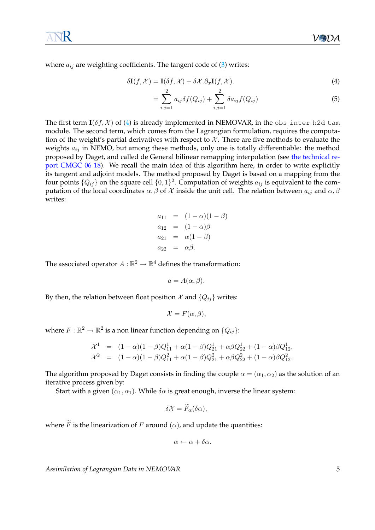where  $a_{ij}$  are weighting coefficients. The tangent code of [\(3\)](#page-4-4) writes:

$$
\delta \mathbf{I}(f, \mathcal{X}) = \mathbf{I}(\delta f, \mathcal{X}) + \delta \mathcal{X}.\partial_x \mathbf{I}(f, \mathcal{X}).
$$
\n(4)

<span id="page-5-0"></span>
$$
= \sum_{i,j=1}^{2} a_{ij} \delta f(Q_{ij}) + \sum_{i,j=1}^{2} \delta a_{ij} f(Q_{ij})
$$
\n(5)

The first term  $I(\delta f, \mathcal{X})$  of [\(4\)](#page-5-0) is already implemented in NEMOVAR, in the obs inter h2d tam module. The second term, which comes from the Lagrangian formulation, requires the computation of the weight's partial derivatives with respect to  $X$ . There are five methods to evaluate the weights  $a_{ij}$  in NEMO, but among these methods, only one is totally differentiable: the method proposed by Daget, and called de General bilinear remapping interpolation (see [the technical re](http://www.cerfacs.fr/~daget/TECHREPORT/TR_CMGC_06_18_html)[port CMGC 06 18\)](http://www.cerfacs.fr/~daget/TECHREPORT/TR_CMGC_06_18_html). We recall the main idea of this algorithm here, in order to write explicitly its tangent and adjoint models. The method proposed by Daget is based on a mapping from the four points  $\{Q_{ij}\}$  on the square cell  $\{0,1\}^2$ . Computation of weights  $a_{ij}$  is equivalent to the computation of the local coordinates  $\alpha$ ,  $\beta$  of  $\chi$  inside the unit cell. The relation between  $a_{ij}$  and  $\alpha$ ,  $\beta$ writes:

$$
a_{11} = (1 - \alpha)(1 - \beta)
$$
  
\n
$$
a_{12} = (1 - \alpha)\beta
$$
  
\n
$$
a_{21} = \alpha(1 - \beta)
$$
  
\n
$$
a_{22} = \alpha\beta.
$$

The associated operator  $A:\mathbb{R}^2\to\mathbb{R}^4$  defines the transformation:

$$
a = A(\alpha, \beta).
$$

By then, the relation between float position  $\mathcal{X}$  and  $\{Q_{ij}\}$  writes:

$$
\mathcal{X} = F(\alpha, \beta),
$$

where  $F: \mathbb{R}^2 \to \mathbb{R}^2$  is a non linear function depending on  $\{Q_{ij}\}$ :

$$
\mathcal{X}^1 = (1 - \alpha)(1 - \beta)Q_{11}^1 + \alpha(1 - \beta)Q_{21}^1 + \alpha\beta Q_{22}^1 + (1 - \alpha)\beta Q_{12}^1,
$$
  

$$
\mathcal{X}^2 = (1 - \alpha)(1 - \beta)Q_{11}^2 + \alpha(1 - \beta)Q_{21}^2 + \alpha\beta Q_{22}^2 + (1 - \alpha)\beta Q_{12}^2.
$$

The algorithm proposed by Daget consists in finding the couple  $\alpha = (\alpha_1, \alpha_2)$  as the solution of an iterative process given by:

Start with a given  $(\alpha_1, \alpha_1)$ . While  $\delta \alpha$  is great enough, inverse the linear system:

$$
\delta \mathcal{X} = \widetilde{F}_{\alpha}(\delta \alpha),
$$

where  $\widetilde{F}$  is the linearization of F around  $(\alpha)$ , and update the quantities:

$$
\alpha \leftarrow \alpha + \delta \alpha.
$$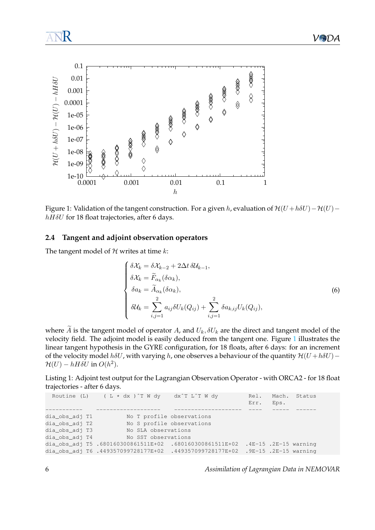

<span id="page-6-1"></span>Figure 1: Validation of the tangent construction. For a given h, evaluation of  $\mathcal{H}(U + h\delta U) - \mathcal{H}(U)$  –  $hH\delta U$  for 18 float trajectories, after 6 days.

#### <span id="page-6-0"></span>**2.4 Tangent and adjoint observation operators**

The tangent model of  $H$  writes at time  $k$ :

<span id="page-6-2"></span>
$$
\begin{cases}\n\delta \mathcal{X}_k = \delta \mathcal{X}_{k-2} + 2\Delta t \, \delta \mathcal{U}_{k-1}, \\
\delta \mathcal{X}_k = \widetilde{F}_{\alpha_k}(\delta \alpha_k), \\
\delta a_k = \widetilde{A}_{\alpha_k}(\delta \alpha_k), \\
\delta \mathcal{U}_k = \sum_{i,j=1}^2 a_{ij} \delta U_k(Q_{ij}) + \sum_{i,j=1}^2 \delta a_{k,ij} U_k(Q_{ij}),\n\end{cases} \tag{6}
$$

where  $\widetilde{A}$  is the tangent model of operator A, and  $U_k$ ,  $\delta U_k$  are the direct and tangent model of the velocity field. The adjoint model is easily deduced from the tangent one. Figure [1](#page-6-1) illustrates the linear tangent hypothesis in the GYRE configuration, for 18 floats, after 6 days: for an increment of the velocity model  $h\delta U$ , with varying h, one observes a behaviour of the quantity  $\mathcal{H}(U + h\delta U)$  –  $\mathcal{H}(U) - hH\delta U$  in  $O(h^2)$ .

<span id="page-6-3"></span>Listing 1: Adjoint test output for the Lagrangian Observation Operator - with ORCA2 - for 18 float trajectories - after 6 days.

|                | Routine (L) $(L \times dx)$ T W dy dx <sup>2</sup> T L <sup>2</sup> T W dy     |                           | Err.                    | Eps. | Rel. Mach. Status |  |
|----------------|--------------------------------------------------------------------------------|---------------------------|-------------------------|------|-------------------|--|
|                |                                                                                |                           |                         |      |                   |  |
| dia_obs_adj T1 |                                                                                | No T profile observations |                         |      |                   |  |
| dia_obs_adj T2 |                                                                                | No S profile observations |                         |      |                   |  |
| dia_obs_adj T3 | No SLA observations                                                            |                           |                         |      |                   |  |
| dia obs adj T4 | No SST observations                                                            |                           |                         |      |                   |  |
|                | dia_obs_adj T5 .680160300861511E+02 .680160300861511E+02                       |                           | $.4E-15$ .2E-15 warning |      |                   |  |
|                | dia_obs_adj T6 .449357099728177E+02 .449357099728177E+02 .9E-15 .2E-15 warning |                           |                         |      |                   |  |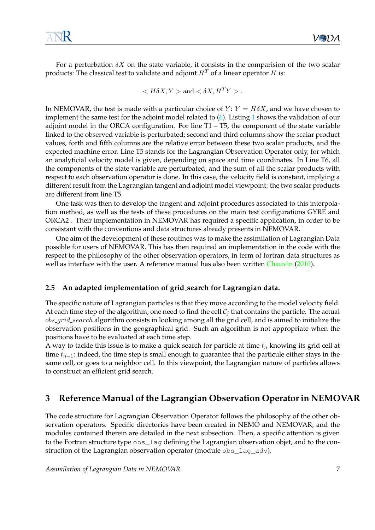For a perturbation  $\delta X$  on the state variable, it consists in the comparision of the two scalar products: The classical test to validate and adjoint  $H<sup>T</sup>$  of a linear operator H is:

$$
\langle H\delta X, Y \rangle \text{ and } \langle \delta X, H^T Y \rangle.
$$

In NEMOVAR, the test is made with a particular choice of  $Y: Y = H\delta X$ , and we have chosen to implement the same test for the adjoint model related to [\(6\)](#page-6-2). Listing [1](#page-6-3) shows the validation of our adjoint model in the ORCA configuration. For line T1 – T5, the component of the state variable linked to the observed variable is perturbated; second and third columns show the scalar product values, forth and fifth columns are the relative error between these two scalar products, and the expected machine error. Line T5 stands for the Lagrangian Observation Operator only, for which an analyticial velocity model is given, depending on space and time coordinates. In Line T6, all the components of the state variable are perturbated, and the sum of all the scalar products with respect to each observation operator is done. In this case, the velocity field is constant, implying a different result from the Lagrangian tangent and adjoint model viewpoint: the two scalar products are different from line T5.

One task was then to develop the tangent and adjoint procedures associated to this interpolation method, as well as the tests of these procedures on the main test configurations GYRE and ORCA2 . Their implementation in NEMOVAR has required a specific application, in order to be consistant with the conventions and data structures already presents in NEMOVAR.

One aim of the development of these routines was to make the assimilation of Lagrangian Data possible for users of NEMOVAR. This has then required an implementation in the code with the respect to the philosophy of the other observation operators, in term of fortran data structures as well as interface with the user. A reference manual has also been written [Chauvin](#page-15-0) [\(2010\)](#page-15-0).

#### <span id="page-7-0"></span>**2.5 An adapted implementation of grid search for Lagrangian data.**

The specific nature of Lagrangian particles is that they move according to the model velocity field. At each time step of the algorithm, one need to find the cell  $C_i$  that contains the particle. The actual obs\_grid\_search algorithm consists in looking among all the grid cell, and is aimed to initialize the observation positions in the geographical grid. Such an algorithm is not appropriate when the positions have to be evaluated at each time step.

A way to tackle this issue is to make a quick search for particle at time  $t_n$  knowing its grid cell at time  $t_{n-1}$ : indeed, the time step is small enough to guarantee that the particule either stays in the same cell, or goes to a neighbor cell. In this viewpoint, the Lagrangian nature of particles allows to construct an efficient grid search.

### <span id="page-7-1"></span>**3 Reference Manual of the Lagrangian Observation Operator in NEMOVAR**

The code structure for Lagrangian Observation Operator follows the philosophy of the other observation operators. Specific directories have been created in NEMO and NEMOVAR, and the modules contained therein are detailed in the next subsection. Then, a specific attention is given to the Fortran structure type obs\_lag defining the Lagrangian observation objet, and to the construction of the Lagrangian observation operator (module obs\_lag\_adv).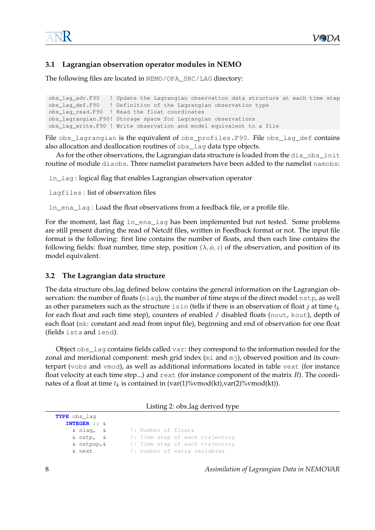#### <span id="page-8-0"></span>**3.1 Lagrangian observation operator modules in NEMO**

The following files are located in NEMO/OPA\_SRC/LAG directory:

```
obs_lag_adv.F90 ! Update the Lagrangian observation data structure at each time step
obs_lag_def.F90 ! Definition of the Lagrangian observation type
obs_lag_read.F90 ! Read the float coordinates
obs_lagrangian.F90! Storage space for Lagrangian observations
obs_lag_write.F90 ! Write observation and model equivalent to a file
```
File obs\_lagrangian is the equivalent of obs\_profiles.F90. File obs\_lag\_def contains also allocation and deallocation routines of obs\_lag data type objects.

As for the other observations, the Lagrangian data structure is loaded from the dia\_obs\_init routine of module diaobs. Three namelist parameters have been added to the namelist namobs:

ln\_lag : logical flag that enables Lagrangian observation operator

lagfiles : list of observation files

ln\_ena\_lag : Load the float observations from a feedback file, or a profile file.

For the moment, last flag ln\_ena\_lag has been implemented but not tested. Some problems are still present during the read of Netcdf files, written in Feedback format or not. The input file format is the following: first line contains the number of floats, and then each line contains the following fields: float number, time step, position  $(\lambda, \phi, z)$  of the observation, and position of its model equivalent.

#### <span id="page-8-1"></span>**3.2 The Lagrangian data structure**

The data structure obs lag defined below contains the general information on the Lagrangian observation: the number of floats (nlag), the number of time steps of the direct model nstp, as well as other parameters such as the structure is in (tells if there is an observation of float j at time  $t_k$ for each float and each time step), counters of enabled / disabled floats (nout, kout), depth of each float (mk: constant and read from input file), beginning and end of observation for one float (fields ista and iend).

Object obs\_lag contains fields called var: they correspond to the information needed for the zonal and meridional component: mesh grid index (mi and mj), observed position and its counterpart (vobs and vmod), as well as additional informations located in table vext (for instance float velocity at each time step...) and  $r$ ext (for instance component of the matrix  $R$ ). The coordinates of a float at time  $t_k$  is contained in (var(1)%vmod(kt),var(2)%vmod(kt)).

Listing 2: obs lag derived type

| TYPE obs_laq           |                                |
|------------------------|--------------------------------|
| <b>INTEGER</b> :: $\&$ |                                |
| & nlag, &              | !: Number of floats            |
| & nstp, &              | : Time step of each trajectory |
| & nstpup, &            | : Time step of each trajectory |
| & next                 | !: number of extra variables   |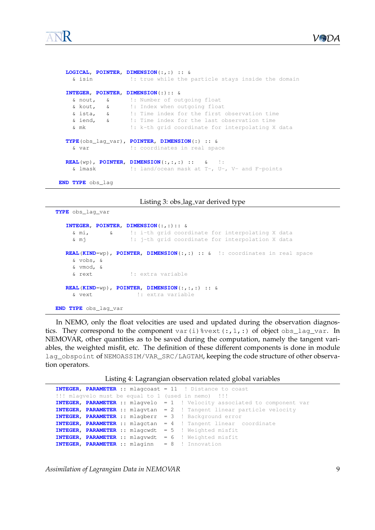

```
LOGICAL, POINTER, DIMENSION(:,:) :: &
    & isin !: true while the particle stays inside the domain
  INTEGER, POINTER, DIMENSION(:):: &
   & nout, & !: Number of outgoing float<br>
& kout, & !: Index when outgoing floa<br>
& ista, & !: Time index for the first<br>
& iend, & !: Time index for the last
                      !: Index when outgoing float
                      !: Time index for the first observation time
                       !: Time index for the last observation time
    & mk !: k-th grid coordinate for interpolating X data
  TYPE(obs_lag_var), POINTER, DIMENSION(:) :: &
    & var !: coordinates in real space
  REAL(wp), POINTER, DIMENSION(:,:,:) :: & !:
    & lmask !: land/ocean mask at T-, U-, V- and F-points
END TYPE obs_lag
```

```
Listing 3: obs lag var derived type
```

```
TYPE obs_lag_var
  INTEGER, POINTER, DIMENSION(:,:):: &
    & mi, & !: i-th grid coordinate for interpolating X data
    & mj !: j-th grid coordinate for interpolation X data
  REAL(KIND=wp), POINTER, DIMENSION(:,:) :: & !: coordinates in real space
    & vobs, &
    & vmod, &
    & rext !: extra variable
  REAL(KIND=wp), POINTER, DIMENSION(:,:,:) :: &
    & vext !: extra variable
END TYPE obs_lag_var
```
In NEMO, only the float velocities are used and updated during the observation diagnostics. They correspond to the component var(i)%vext(:,1,:) of object obs\_lag\_var. In NEMOVAR, other quantities as to be saved during the computation, namely the tangent variables, the weighted misfit, etc. The definition of these different components is done in module lag\_obspoint of NEMOASSIM/VAR\_SRC/LAGTAM, keeping the code structure of other observation operators.

Listing 4: Lagrangian observation related global variables

```
INTEGER, PARAMETER :: mlagcoast = 11 ! Distance to coast
!!! mlagvelo must be equal to 1 (used in nemo) !!!
INTEGER, PARAMETER :: mlagvelo = 1 ! Velocity associated to component var
INTEGER, PARAMETER :: mlagvtan = 2 ! Tangent linear particle velocity
INTEGER, PARAMETER :: mlagberr = 3 ! Background error
INTEGER, PARAMETER :: mlagctan = 4 ! Tangent linear coordinate
INTEGER, PARAMETER :: mlagcwdt = 5 ! Weighted misfit
INTEGER, PARAMETER :: mlagvwdt = 6 ! Weighted misfit
INTEGER, PARAMETER :: mlaginn = 8 ! Innovation
```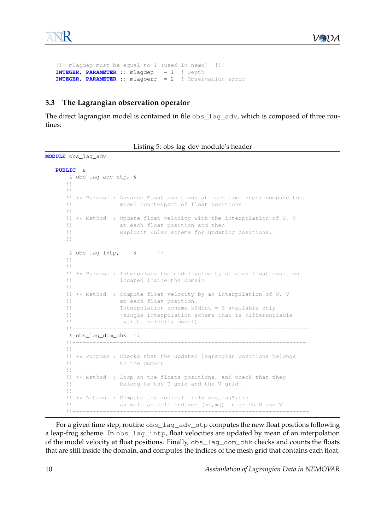```
!!! mlagdep must be equal to 1 (used in nemo) !!!
INTEGER, PARAMETER :: mlagdep = 1 ! Depth
INTEGER, PARAMETER :: mlagoerr = 2 ! Observation error
```
#### <span id="page-10-0"></span>**3.3 The Lagrangian observation operator**

The direct lagrangian model is contained in file obs\_lag\_adv, which is composed of three routines:

| Listing 5: obs_lag_dev module's header |  |  |  |  |  |
|----------------------------------------|--|--|--|--|--|
|----------------------------------------|--|--|--|--|--|

```
MODULE obs_lag_adv
   PUBLIC &
       & obs_lag_adv_stp, &
      !!---------------------------------------------------------------------
      !!
      !! ** Purpose : Advance Float positions at each time step: compute the
                     model counterpart of float positions
      !!
      !! ** Method : Update float velocity with the interpolation of U, V
                     at each float position and then
      !! Explicit Euler scheme for updating positions.
      !!----------------------------------------------------------------------
       & obs_lag_intp, & !:
      !!---------------------------------------------------------------------
      !!
      !! ** Purpose : Interpolate the model velocity at each float position
                     located inside the domain
      !!
      !! ** Method : Compute float velocity by an interpolation of U, V
                    at each float position.
      !! Interpolation scheme k2dint = 3 available only
      !! (single interpolation scheme that is differentiable
      !! w.r.t. velocity model)
      !!----------------------------------------------------------------------
      & obs_lag_dom_chk !:
      !!---------------------------------------------------------------------
      !!
      !! ** Purpose : Checks that the updated lagrangian positions belongs
                      to the domain
      !!
      !! ** Method : Loop on the floats positions, and check that they
                     belong to the U grid and the V grid.
      \|\cdot\|!! ** Action : Compute the logical field obs_lag&isin<br>!! as well as cell indices (mi.mi) in grid
                    as well as cell indices (mi,mj) in grids U and V.
      !!----------------------------------------------------------------------
```
For a given time step, routine  $\cos$  lag\_adv\_stp computes the new float positions following a leap-frog scheme. In obs\_lag\_intp, float velocities are updated by mean of an interpolation of the model velocity at float positions. Finally, obs\_lag\_dom\_chk checks and counts the floats that are still inside the domain, and computes the indices of the mesh grid that contains each float.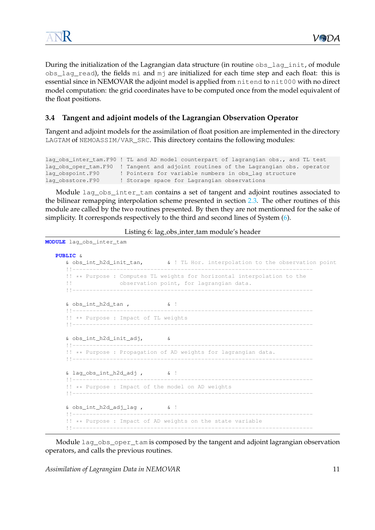During the initialization of the Lagrangian data structure (in routine obs\_lag\_init, of module obs\_lag\_read), the fields mi and mj are initialized for each time step and each float: this is essential since in NEMOVAR the adjoint model is applied from nitend to nit000 with no direct model computation: the grid coordinates have to be computed once from the model equivalent of the float positions.

#### <span id="page-11-0"></span>**3.4 Tangent and adjoint models of the Lagrangian Observation Operator**

Tangent and adjoint models for the assimilation of float position are implemented in the directory LAGTAM of NEMOASSIM/VAR\_SRC. This directory contains the following modules:

```
lag_obs_inter_tam.F90 ! TL and AD model counterpart of lagrangian obs., and TL test
lag_obs_oper_tam.F90 ! Tangent and adjoint routines of the Lagrangian obs. operator
lag_obspoint.F90 ! Pointers for variable numbers in obs_lag structure
lag_obsstore.F90 ! Storage space for Lagrangian observations
```
Module lag\_obs\_inter\_tam contains a set of tangent and adjoint routines associated to the bilinear remapping interpolation scheme presented in section [2.3.](#page-4-1) The other routines of this module are called by the two routines presented. By then they are not mentionned for the sake of simplicity. It corresponds respectively to the third and second lines of System [\(6\)](#page-6-2).

Listing 6: lag obs inter tam module's header

```
MODULE lag_obs_inter_tam
   PUBLIC &
      & obs_int_h2d_init_tan, & ! TL Hor. interpolation to the observation point
      !!-----------------------------------------------------------------------
      !! ** Purpose : Computes TL weights for horizontal interpolation to the
      !! observation point, for lagrangian data.
      !!-----------------------------------------------------------------------
      \& obs_int_h2d_tan , \& !
      !!-----------------------------------------------------------------------
      !! ** Purpose : Impact of TL weights
      !!-----------------------------------------------------------------------
      & obs_int_h2d_init_adj, &
      !!-----------------------------------------------------------------------
      !! ** Purpose : Propagation of AD weights for lagrangian data.
      !!-----------------------------------------------------------------------
      & lag_obs_int_h2d_adj , & !
      !!-----------------------------------------------------------------------
      !! ** Purpose : Impact of the model on AD weights
      !!-----------------------------------------------------------------------
      & obs_int_h2d_adj_lag , & !
      !!-----------------------------------------------------------------------
      !! ** Purpose : Impact of AD weights on the state variable
      !!-----------------------------------------------------------------------
```
Module lag\_obs\_oper\_tam is composed by the tangent and adjoint lagrangian observation operators, and calls the previous routines.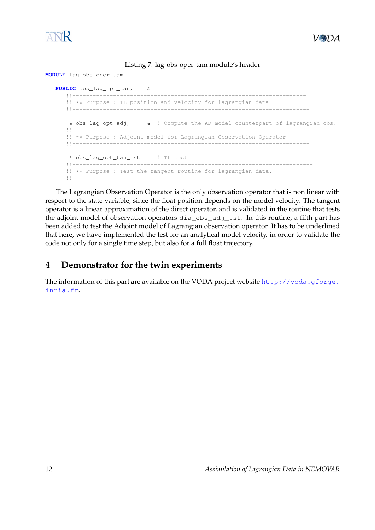

Listing 7: lag obs oper tam module's header

```
MODULE lag_obs_oper_tam
  PUBLIC obs_lag_opt_tan, &
      !!---------------------------------------------------------------------
      !! ** Purpose : TL position and velocity for lagrangian data
      !!----------------------------------------------------------------------
      & obs_lag_opt_adj, & ! Compute the AD model counterpart of lagrangian obs.
      !!---------------------------------------------------------------------
      !! ** Purpose : Adjoint model for Lagrangian Observation Operator
      !!----------------------------------------------------------------------
      & obs_lag_opt_tan_tst ! TL test
      !!-----------------------------------------------------------------------
      !! ** Purpose : Test the tangent routine for lagrangian data.
      !!-----------------------------------------------------------------------
```
The Lagrangian Observation Operator is the only observation operator that is non linear with respect to the state variable, since the float position depends on the model velocity. The tangent operator is a linear approximation of the direct operator, and is validated in the routine that tests the adjoint model of observation operators dia\_obs\_adj\_tst. In this routine, a fifth part has been added to test the Adjoint model of Lagrangian observation operator. It has to be underlined that here, we have implemented the test for an analytical model velocity, in order to validate the code not only for a single time step, but also for a full float trajectory.

# <span id="page-12-0"></span>**4 Demonstrator for the twin experiments**

The information of this part are available on the VODA project website [http://voda.gforge.](http://voda.gforge.inria.fr) [inria.fr](http://voda.gforge.inria.fr).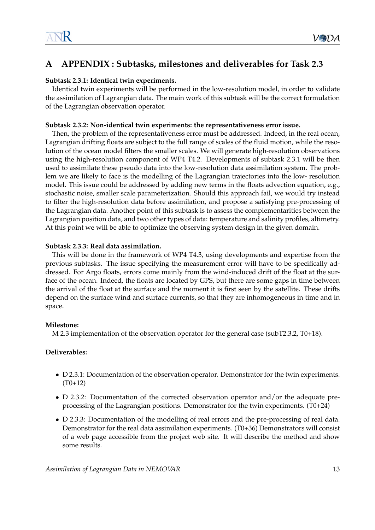# <span id="page-13-0"></span>**A APPENDIX : Subtasks, milestones and deliverables for Task 2.3**

#### **Subtask 2.3.1: Identical twin experiments.**

Identical twin experiments will be performed in the low-resolution model, in order to validate the assimilation of Lagrangian data. The main work of this subtask will be the correct formulation of the Lagrangian observation operator.

#### **Subtask 2.3.2: Non-identical twin experiments: the representativeness error issue.**

Then, the problem of the representativeness error must be addressed. Indeed, in the real ocean, Lagrangian drifting floats are subject to the full range of scales of the fluid motion, while the resolution of the ocean model filters the smaller scales. We will generate high-resolution observations using the high-resolution component of WP4 T4.2. Developments of subtask 2.3.1 will be then used to assimilate these pseudo data into the low-resolution data assimilation system. The problem we are likely to face is the modelling of the Lagrangian trajectories into the low- resolution model. This issue could be addressed by adding new terms in the floats advection equation, e.g., stochastic noise, smaller scale parameterization. Should this approach fail, we would try instead to filter the high-resolution data before assimilation, and propose a satisfying pre-processing of the Lagrangian data. Another point of this subtask is to assess the complementarities between the Lagrangian position data, and two other types of data: temperature and salinity profiles, altimetry. At this point we will be able to optimize the observing system design in the given domain.

#### **Subtask 2.3.3: Real data assimilation.**

This will be done in the framework of WP4 T4.3, using developments and expertise from the previous subtasks. The issue specifying the measurement error will have to be specifically addressed. For Argo floats, errors come mainly from the wind-induced drift of the float at the surface of the ocean. Indeed, the floats are located by GPS, but there are some gaps in time between the arrival of the float at the surface and the moment it is first seen by the satellite. These drifts depend on the surface wind and surface currents, so that they are inhomogeneous in time and in space.

#### **Milestone:**

M 2.3 implementation of the observation operator for the general case (subT2.3.2, T0+18).

#### **Deliverables:**

- D 2.3.1: Documentation of the observation operator. Demonstrator for the twin experiments.  $(T0+12)$
- D 2.3.2: Documentation of the corrected observation operator and/or the adequate preprocessing of the Lagrangian positions. Demonstrator for the twin experiments. (T0+24)
- D 2.3.3: Documentation of the modelling of real errors and the pre-processing of real data. Demonstrator for the real data assimilation experiments. (T0+36) Demonstrators will consist of a web page accessible from the project web site. It will describe the method and show some results.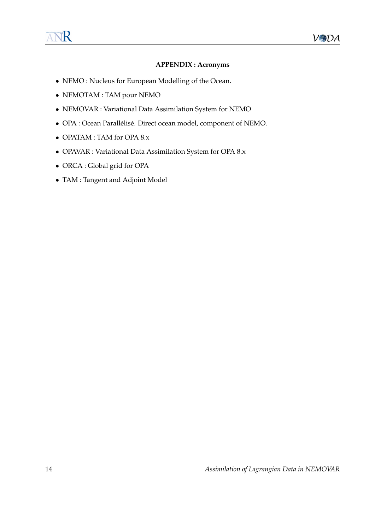#### **APPENDIX : Acronyms**

- NEMO : Nucleus for European Modelling of the Ocean.
- NEMOTAM : TAM pour NEMO
- NEMOVAR : Variational Data Assimilation System for NEMO
- OPA : Ocean Parallélisé. Direct ocean model, component of NEMO.
- OPATAM : TAM for OPA 8.x
- OPAVAR : Variational Data Assimilation System for OPA 8.x
- ORCA : Global grid for OPA
- TAM : Tangent and Adjoint Model